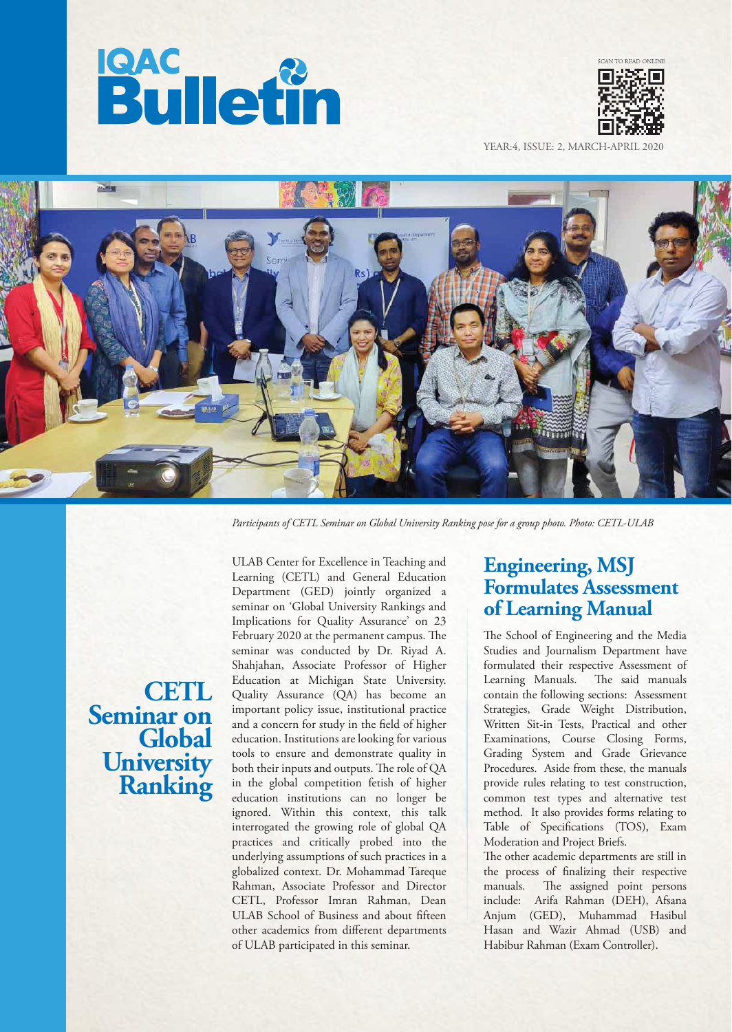



YEAR:4, ISSUE: 2, MARCH-APRIL 2020



*Participants of CETL Seminar on Global University Ranking pose for a group photo. Photo: CETL-ULAB*

**CETL Seminar on Global University Ranking**

ULAB Center for Excellence in Teaching and Learning (CETL) and General Education Department (GED) jointly organized a seminar on 'Global University Rankings and Implications for Quality Assurance' on 23 February 2020 at the permanent campus. The seminar was conducted by Dr. Riyad A. Shahjahan, Associate Professor of Higher Education at Michigan State University. Quality Assurance (QA) has become an important policy issue, institutional practice and a concern for study in the field of higher education. Institutions are looking for various tools to ensure and demonstrate quality in both their inputs and outputs. The role of QA in the global competition fetish of higher education institutions can no longer be ignored. Within this context, this talk interrogated the growing role of global QA practices and critically probed into the underlying assumptions of such practices in a globalized context. Dr. Mohammad Tareque Rahman, Associate Professor and Director CETL, Professor Imran Rahman, Dean ULAB School of Business and about fifteen other academics from different departments of ULAB participated in this seminar.

# **Engineering, MSJ Formulates Assessment of Learning Manual**

The School of Engineering and the Media Studies and Journalism Department have formulated their respective Assessment of Learning Manuals. The said manuals contain the following sections: Assessment Strategies, Grade Weight Distribution, Written Sit-in Tests, Practical and other Examinations, Course Closing Forms, Grading System and Grade Grievance Procedures. Aside from these, the manuals provide rules relating to test construction, common test types and alternative test method. It also provides forms relating to Table of Specifications (TOS), Exam Moderation and Project Briefs.

The other academic departments are still in the process of nalizing their respective manuals. The assigned point persons include: Arifa Rahman (DEH), Afsana Anjum (GED), Muhammad Hasibul Hasan and Wazir Ahmad (USB) and Habibur Rahman (Exam Controller).